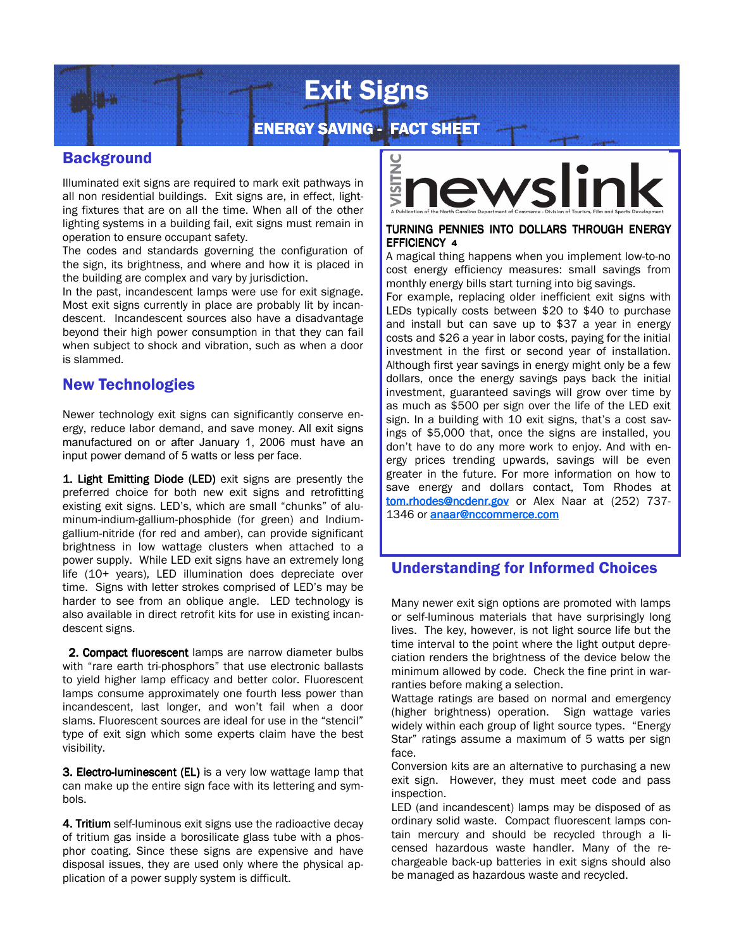# Exit Signs

## ENERGY SAVING - FACT SHEET

## **Background**

Illuminated exit signs are required to mark exit pathways in all non residential buildings. Exit signs are, in effect, lighting fixtures that are on all the time. When all of the other lighting systems in a building fail, exit signs must remain in operation to ensure occupant safety.

The codes and standards governing the configuration of the sign, its brightness, and where and how it is placed in the building are complex and vary by jurisdiction.

In the past, incandescent lamps were use for exit signage. Most exit signs currently in place are probably lit by incandescent. Incandescent sources also have a disadvantage beyond their high power consumption in that they can fail when subject to shock and vibration, such as when a door is slammed.

## New Technologies

Newer technology exit signs can significantly conserve energy, reduce labor demand, and save money. All exit signs manufactured on or after January 1, 2006 must have an input power demand of 5 watts or less per face.

1. Light Emitting Diode (LED) exit signs are presently the preferred choice for both new exit signs and retrofitting existing exit signs. LED's, which are small "chunks" of aluminum-indium-gallium-phosphide (for green) and Indiumgallium-nitride (for red and amber), can provide significant brightness in low wattage clusters when attached to a power supply. While LED exit signs have an extremely long life (10+ years), LED illumination does depreciate over time. Signs with letter strokes comprised of LED's may be harder to see from an oblique angle. LED technology is also available in direct retrofit kits for use in existing incandescent signs.

2. Compact fluorescent lamps are narrow diameter bulbs with "rare earth tri-phosphors" that use electronic ballasts to yield higher lamp efficacy and better color. Fluorescent lamps consume approximately one fourth less power than incandescent, last longer, and won't fail when a door slams. Fluorescent sources are ideal for use in the "stencil" type of exit sign which some experts claim have the best visibility.

3. Electro-luminescent (EL) is a very low wattage lamp that can make up the entire sign face with its lettering and symbols.

4. Tritium self-luminous exit signs use the radioactive decay of tritium gas inside a borosilicate glass tube with a phosphor coating. Since these signs are expensive and have disposal issues, they are used only where the physical application of a power supply system is difficult.



#### TURNING PENNIES INTO DOLLARS THROUGH ENERGY EFFICIENCY <sup>4</sup>

A magical thing happens when you implement low-to-no cost energy efficiency measures: small savings from monthly energy bills start turning into big savings.

For example, replacing older inefficient exit signs with LEDs typically costs between \$20 to \$40 to purchase and install but can save up to \$37 a year in energy costs and \$26 a year in labor costs, paying for the initial investment in the first or second year of installation. Although first year savings in energy might only be a few dollars, once the energy savings pays back the initial investment, guaranteed savings will grow over time by as much as \$500 per sign over the life of the LED exit sign. In a building with 10 exit signs, that's a cost savings of \$5,000 that, once the signs are installed, you don't have to do any more work to enjoy. And with energy prices trending upwards, savings will be even greater in the future. For more information on how to save energy and dollars contact, Tom Rhodes at tom.rhodes@ncdenr.gov or Alex Naar at (252) 737-1346 or **anaar@nccommerce.com** 

## Understanding for Informed Choices

Many newer exit sign options are promoted with lamps or self-luminous materials that have surprisingly long lives. The key, however, is not light source life but the time interval to the point where the light output depreciation renders the brightness of the device below the minimum allowed by code. Check the fine print in warranties before making a selection.

Wattage ratings are based on normal and emergency (higher brightness) operation. Sign wattage varies widely within each group of light source types. "Energy Star" ratings assume a maximum of 5 watts per sign face.

Conversion kits are an alternative to purchasing a new exit sign. However, they must meet code and pass inspection.

LED (and incandescent) lamps may be disposed of as ordinary solid waste. Compact fluorescent lamps contain mercury and should be recycled through a licensed hazardous waste handler. Many of the rechargeable back-up batteries in exit signs should also be managed as hazardous waste and recycled.